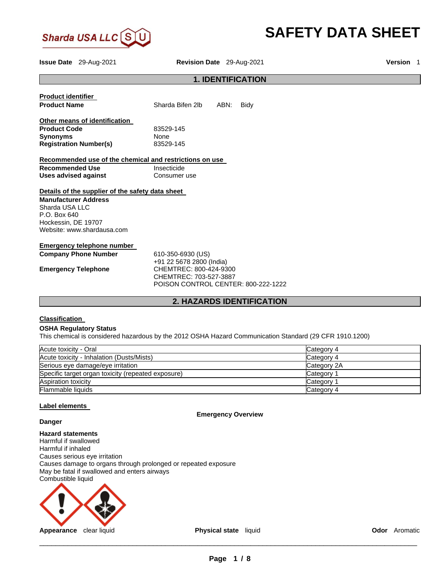

# **SAFETY DATA SHEET**

|                               | <b>Issue Date</b> 29-Aug-2021                    | Revision Date 29-Aug-2021                               | Version 1 |  |
|-------------------------------|--------------------------------------------------|---------------------------------------------------------|-----------|--|
|                               |                                                  | <b>1. IDENTIFICATION</b>                                |           |  |
| <b>Product identifier</b>     |                                                  |                                                         |           |  |
| <b>Product Name</b>           |                                                  | Sharda Bifen 2lb<br>ABN:<br>Bidy                        |           |  |
|                               | Other means of identification                    |                                                         |           |  |
| <b>Product Code</b>           |                                                  | 83529-145                                               |           |  |
| <b>Synonyms</b>               |                                                  | None                                                    |           |  |
| <b>Registration Number(s)</b> |                                                  | 83529-145                                               |           |  |
|                               |                                                  | Recommended use of the chemical and restrictions on use |           |  |
| <b>Recommended Use</b>        |                                                  | Insecticide                                             |           |  |
| <b>Uses advised against</b>   |                                                  | Consumer use                                            |           |  |
|                               | Details of the supplier of the safety data sheet |                                                         |           |  |
| <b>Manufacturer Address</b>   |                                                  |                                                         |           |  |
| Sharda USA LLC                |                                                  |                                                         |           |  |
| P.O. Box 640                  |                                                  |                                                         |           |  |
| Hockessin, DE 19707           |                                                  |                                                         |           |  |
|                               | Website: www.shardausa.com                       |                                                         |           |  |
|                               | <b>Emergency telephone number</b>                |                                                         |           |  |
|                               | <b>Company Phone Number</b>                      | 610-350-6930 (US)                                       |           |  |
|                               |                                                  | +91 22 5678 2800 (India)                                |           |  |
| <b>Emergency Telephone</b>    |                                                  | CHEMTREC: 800-424-9300                                  |           |  |
|                               |                                                  | CHEMTREC: 703-527-3887                                  |           |  |
|                               |                                                  | POISON CONTROL CENTER: 800-222-1222                     |           |  |
|                               | <b>2. HAZARDS IDENTIFICATION</b>                 |                                                         |           |  |

# **Classification**

## **OSHA Regulatory Status**

This chemical is considered hazardous by the 2012 OSHA Hazard Communication Standard (29 CFR 1910.1200)

| Acute toxicity - Oral                              | Category 4  |
|----------------------------------------------------|-------------|
| Acute toxicity - Inhalation (Dusts/Mists)          | Category 4  |
| Serious eye damage/eye irritation                  | Category 2A |
| Specific target organ toxicity (repeated exposure) | Category 1  |
| Aspiration toxicity                                | Category 1  |
| Flammable liquids                                  | Category 4  |

# **Label elements**

**Emergency Overview** 

# **Danger**

**Hazard statements** Harmful if swallowed Harmful if inhaled Causes serious eye irritation Causes damage to organs through prolonged or repeated exposure May be fatal if swallowed and enters airways Combustible liquid

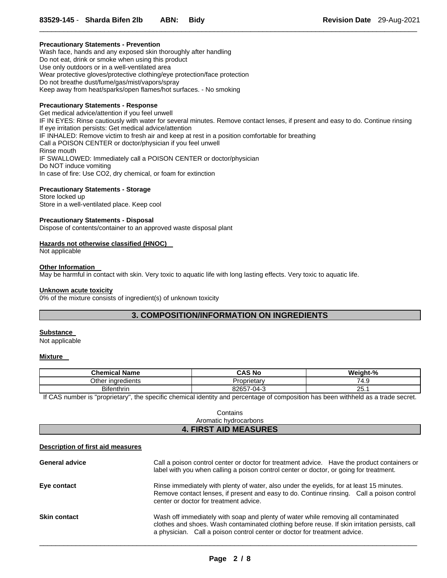## **Precautionary Statements - Prevention**

Wash face, hands and any exposed skin thoroughly after handling Do not eat, drink or smoke when using this product Use only outdoors or in a well-ventilated area Wear protective gloves/protective clothing/eye protection/face protection Do not breathe dust/fume/gas/mist/vapors/spray Keep away from heat/sparks/open flames/hot surfaces. - No smoking

## **Precautionary Statements - Response**

Get medical advice/attention if you feel unwell IF IN EYES: Rinse cautiously with water for several minutes. Remove contact lenses, if present and easy to do. Continue rinsing If eye irritation persists: Get medical advice/attention IF INHALED: Remove victim to fresh air and keep at rest in a position comfortable for breathing Call a POISON CENTER or doctor/physician if you feel unwell Rinse mouth IF SWALLOWED: Immediately call a POISON CENTER or doctor/physician Do NOT induce vomiting In case of fire: Use CO2, dry chemical, or foam for extinction

 $\Box$ 

## **Precautionary Statements - Storage**

Store locked up Store in a well-ventilated place. Keep cool

## **Precautionary Statements - Disposal**

Dispose of contents/container to an approved waste disposal plant

## **Hazards not otherwise classified (HNOC)**

Not applicable

## **Other Information**

May be harmful in contact with skin. Very toxic to aquatic life with long lasting effects. Very toxic to aquatic life.

#### **Unknown acute toxicity**

0% of the mixture consists of ingredient(s) of unknown toxicity

# **3. COMPOSITION/INFORMATION ON INGREDIENTS**

# **Substance**

Not applicable

## **Mixture**

| <b>Chemical Name</b>     | <b>CAS No</b> | Weight-%  |
|--------------------------|---------------|-----------|
| Other ingredients        | Proprietary   | 74.9      |
| - -<br><b>Bifenthrin</b> | 82657-04-3    | つに<br>∠ت. |

If CAS number is "proprietary", the specific chemical identity and percentage of composition has been withheld as a trade secret.

| Contains                     |  |
|------------------------------|--|
| Aromatic hydrocarbons        |  |
| <b>4. FIRST AID MEASURES</b> |  |

#### **Description of first aid measures**

| <b>General advice</b> | Call a poison control center or doctor for treatment advice. Have the product containers or<br>label with you when calling a poison control center or doctor, or going for treatment.                                                                            |
|-----------------------|------------------------------------------------------------------------------------------------------------------------------------------------------------------------------------------------------------------------------------------------------------------|
| Eye contact           | Rinse immediately with plenty of water, also under the eyelids, for at least 15 minutes.<br>Remove contact lenses, if present and easy to do. Continue rinsing. Call a poison control<br>center or doctor for treatment advice.                                  |
| <b>Skin contact</b>   | Wash off immediately with soap and plenty of water while removing all contaminated<br>clothes and shoes. Wash contaminated clothing before reuse. If skin irritation persists, call<br>a physician. Call a poison control center or doctor for treatment advice. |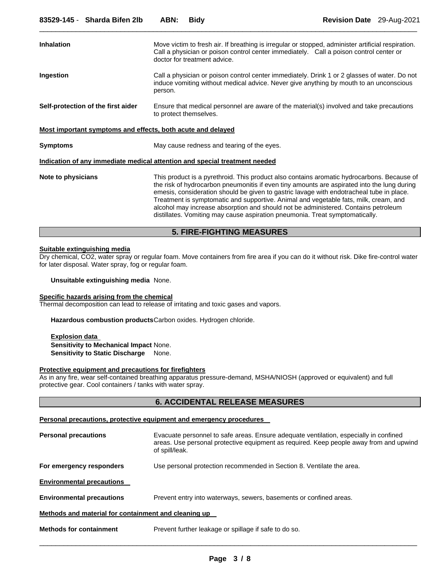| <b>Inhalation</b>                                           | Move victim to fresh air. If breathing is irregular or stopped, administer artificial respiration.<br>Call a physician or poison control center immediately. Call a poison control center or<br>doctor for treatment advice.                                                                                                                                                                                                                                                                                                                        |  |  |  |
|-------------------------------------------------------------|-----------------------------------------------------------------------------------------------------------------------------------------------------------------------------------------------------------------------------------------------------------------------------------------------------------------------------------------------------------------------------------------------------------------------------------------------------------------------------------------------------------------------------------------------------|--|--|--|
| Ingestion                                                   | Call a physician or poison control center immediately. Drink 1 or 2 glasses of water. Do not<br>induce vomiting without medical advice. Never give anything by mouth to an unconscious<br>person.                                                                                                                                                                                                                                                                                                                                                   |  |  |  |
| Self-protection of the first aider                          | Ensure that medical personnel are aware of the material(s) involved and take precautions<br>to protect themselves.                                                                                                                                                                                                                                                                                                                                                                                                                                  |  |  |  |
| Most important symptoms and effects, both acute and delayed |                                                                                                                                                                                                                                                                                                                                                                                                                                                                                                                                                     |  |  |  |
| <b>Symptoms</b>                                             | May cause redness and tearing of the eyes.                                                                                                                                                                                                                                                                                                                                                                                                                                                                                                          |  |  |  |
|                                                             | Indication of any immediate medical attention and special treatment needed                                                                                                                                                                                                                                                                                                                                                                                                                                                                          |  |  |  |
| Note to physicians                                          | This product is a pyrethroid. This product also contains aromatic hydrocarbons. Because of<br>the risk of hydrocarbon pneumonitis if even tiny amounts are aspirated into the lung during<br>emesis, consideration should be given to gastric lavage with endotracheal tube in place.<br>Treatment is symptomatic and supportive. Animal and vegetable fats, milk, cream, and<br>alcohol may increase absorption and should not be administered. Contains petroleum<br>distillates. Vomiting may cause aspiration pneumonia. Treat symptomatically. |  |  |  |

# **5. FIRE-FIGHTING MEASURES**

#### **Suitable extinguishing media**

Dry chemical, CO2, water spray or regular foam. Move containers from fire area if you can do it without risk. Dike fire-control water for later disposal. Water spray, fog or regular foam.

**Unsuitable extinguishing media** None.

# **Specific hazards arising from the chemical**

Thermal decomposition can lead to release of irritating and toxic gases and vapors.

**Hazardous combustion products** Carbon oxides. Hydrogen chloride.

**Explosion data Sensitivity to Mechanical Impact** None. **Sensitivity to Static Discharge** None.

# **Protective equipment and precautions for firefighters**

As in any fire, wear self-contained breathing apparatus pressure-demand, MSHA/NIOSH (approved or equivalent) and full protective gear. Cool containers / tanks with water spray.

# **6. ACCIDENTAL RELEASE MEASURES**

#### **Personal precautions, protective equipment and emergency procedures**

| <b>Personal precautions</b>                          | Evacuate personnel to safe areas. Ensure adequate ventilation, especially in confined<br>areas. Use personal protective equipment as required. Keep people away from and upwind<br>of spill/leak. |  |
|------------------------------------------------------|---------------------------------------------------------------------------------------------------------------------------------------------------------------------------------------------------|--|
| For emergency responders                             | Use personal protection recommended in Section 8. Ventilate the area.                                                                                                                             |  |
| <b>Environmental precautions</b>                     |                                                                                                                                                                                                   |  |
| <b>Environmental precautions</b>                     | Prevent entry into waterways, sewers, basements or confined areas.                                                                                                                                |  |
| Methods and material for containment and cleaning up |                                                                                                                                                                                                   |  |
| <b>Methods for containment</b>                       | Prevent further leakage or spillage if safe to do so.                                                                                                                                             |  |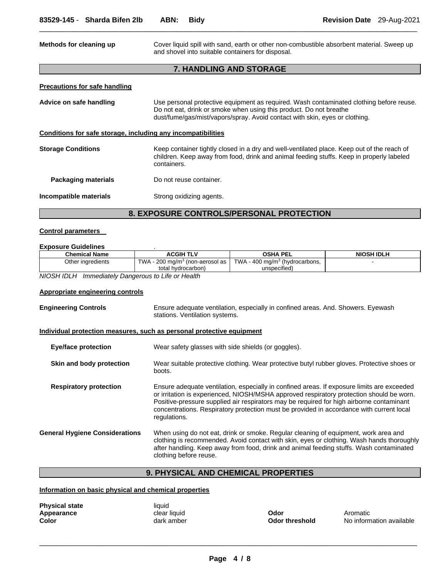| Methods for cleaning up                                      | Cover liquid spill with sand, earth or other non-combustible absorbent material. Sweep up<br>and shovel into suitable containers for disposal.                                                                                               |  |
|--------------------------------------------------------------|----------------------------------------------------------------------------------------------------------------------------------------------------------------------------------------------------------------------------------------------|--|
|                                                              | <b>7. HANDLING AND STORAGE</b>                                                                                                                                                                                                               |  |
| <b>Precautions for safe handling</b>                         |                                                                                                                                                                                                                                              |  |
| Advice on safe handling                                      | Use personal protective equipment as required. Wash contaminated clothing before reuse.<br>Do not eat, drink or smoke when using this product. Do not breathe<br>dust/fume/gas/mist/vapors/spray. Avoid contact with skin, eyes or clothing. |  |
| Conditions for safe storage, including any incompatibilities |                                                                                                                                                                                                                                              |  |
| <b>Storage Conditions</b>                                    | Keep container tightly closed in a dry and well-ventilated place. Keep out of the reach of<br>children. Keep away from food, drink and animal feeding stuffs. Keep in properly labeled<br>containers.                                        |  |
| Packaging materials                                          | Do not reuse container.                                                                                                                                                                                                                      |  |
| Incompatible materials                                       | Strong oxidizing agents.                                                                                                                                                                                                                     |  |

# **8. EXPOSURE CONTROLS/PERSONAL PROTECTION**

## **Control parameters**

## **Exposure Guidelines** .

| <b>Chemical Name</b> | <b>ACGIH TLV</b>                            | <b>OSHA PEL</b>                            | <b>NIOSH IDLH</b> |
|----------------------|---------------------------------------------|--------------------------------------------|-------------------|
| Other ingredients    | TWA - 200 mg/m <sup>3</sup> (non-aerosol as | TWA - 400 mg/m <sup>3</sup> (hydrocarbons, |                   |
|                      | total hydrocarbon)                          | unspecified)                               |                   |

*NIOSH IDLH Immediately Dangerous to Life or Health* 

# **Appropriate engineering controls**

| <b>Engineering Controls</b>           | Ensure adequate ventilation, especially in confined areas. And. Showers. Eyewash<br>stations. Ventilation systems.                                                                                                                                                                                                                                                                             |  |
|---------------------------------------|------------------------------------------------------------------------------------------------------------------------------------------------------------------------------------------------------------------------------------------------------------------------------------------------------------------------------------------------------------------------------------------------|--|
|                                       | Individual protection measures, such as personal protective equipment                                                                                                                                                                                                                                                                                                                          |  |
| <b>Eye/face protection</b>            | Wear safety glasses with side shields (or goggles).                                                                                                                                                                                                                                                                                                                                            |  |
| Skin and body protection              | Wear suitable protective clothing. Wear protective butyl rubber gloves. Protective shoes or<br>boots.                                                                                                                                                                                                                                                                                          |  |
| <b>Respiratory protection</b>         | Ensure adequate ventilation, especially in confined areas. If exposure limits are exceeded<br>or irritation is experienced, NIOSH/MSHA approved respiratory protection should be worn.<br>Positive-pressure supplied air respirators may be required for high airborne contaminant<br>concentrations. Respiratory protection must be provided in accordance with current local<br>regulations. |  |
| <b>General Hygiene Considerations</b> | When using do not eat, drink or smoke. Regular cleaning of equipment, work area and<br>clothing is recommended. Avoid contact with skin, eyes or clothing. Wash hands thoroughly<br>after handling. Keep away from food, drink and animal feeding stuffs. Wash contaminated<br>clothing before reuse.                                                                                          |  |

# **9. PHYSICAL AND CHEMICAL PROPERTIES**

# **Information on basic physical and chemical properties**

| <b>Physical state</b> | liquid       |                |           |
|-----------------------|--------------|----------------|-----------|
| Appearance            | clear liquid | Odor           | Aromatic  |
| Color                 | dark amber   | Odor threshold | No inform |

**Color threshold No information available Odor threshold** No information available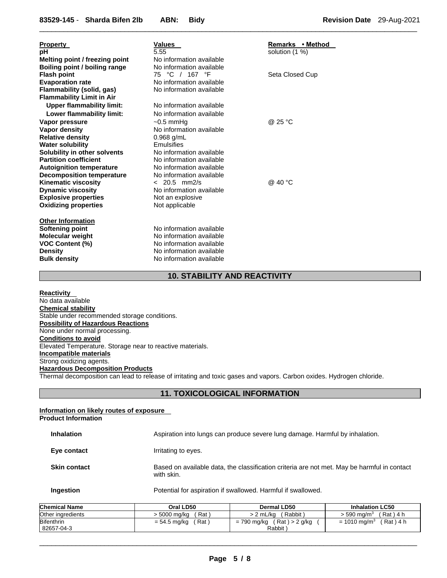| <b>Property</b><br>рH<br>Melting point / freezing point<br>Boiling point / boiling range<br><b>Flash point</b>                                                                                                                                                                                                                                       | Values<br>5.55<br>No information available<br>No information available<br>75 °C / 167 °F                                                                                                                                                                                      | Remarks • Method<br>solution $(1%)$<br>Seta Closed Cup |
|------------------------------------------------------------------------------------------------------------------------------------------------------------------------------------------------------------------------------------------------------------------------------------------------------------------------------------------------------|-------------------------------------------------------------------------------------------------------------------------------------------------------------------------------------------------------------------------------------------------------------------------------|--------------------------------------------------------|
| <b>Evaporation rate</b><br><b>Flammability (solid, gas)</b><br><b>Flammability Limit in Air</b>                                                                                                                                                                                                                                                      | No information available<br>No information available                                                                                                                                                                                                                          |                                                        |
| <b>Upper flammability limit:</b><br>Lower flammability limit:                                                                                                                                                                                                                                                                                        | No information available<br>No information available                                                                                                                                                                                                                          |                                                        |
| Vapor pressure<br>Vapor density<br><b>Relative density</b><br><b>Water solubility</b><br>Solubility in other solvents<br><b>Partition coefficient</b><br><b>Autoignition temperature</b><br><b>Decomposition temperature</b><br><b>Kinematic viscosity</b><br><b>Dynamic viscosity</b><br><b>Explosive properties</b><br><b>Oxidizing properties</b> | $\sim$ 0.5 mmHq<br>No information available<br>$0.968$ g/mL<br>Emulsifies<br>No information available<br>No information available<br>No information available<br>No information available<br>$< 20.5$ mm2/s<br>No information available<br>Not an explosive<br>Not applicable | @ 25 °C<br>@ 40 °C                                     |
| <b>Other Information</b><br><b>Softening point</b><br><b>Molecular weight</b><br><b>VOC Content (%)</b><br><b>Density</b><br><b>Bulk density</b>                                                                                                                                                                                                     | No information available<br>No information available<br>No information available<br>No information available<br>No information available                                                                                                                                      |                                                        |

# **10. STABILITY AND REACTIVITY**

 $\Box$ 

**Reactivity**  No data available **Chemical stability** Stable under recommended storage conditions. **Possibility of Hazardous Reactions** None under normal processing. **Conditions to avoid** Elevated Temperature. Storage near to reactive materials. **Incompatible materials** Strong oxidizing agents. **Hazardous Decomposition Products** Thermal decomposition can lead to release of irritating and toxic gases and vapors. Carbon oxides. Hydrogen chloride.

# **11. TOXICOLOGICAL INFORMATION**

#### **Information on likely routes of exposure Product Information**

| <b>Inhalation</b>   | Aspiration into lungs can produce severe lung damage. Harmful by inhalation.                              |
|---------------------|-----------------------------------------------------------------------------------------------------------|
| Eye contact         | Irritating to eyes.                                                                                       |
| <b>Skin contact</b> | Based on available data, the classification criteria are not met. May be harmful in contact<br>with skin. |
| Ingestion           | Potential for aspiration if swallowed. Harmful if swallowed.                                              |

| <b>Chemical Name</b>            | Oral LD50               | Dermal LD50                             | <b>Inhalation LC50</b>                 |
|---------------------------------|-------------------------|-----------------------------------------|----------------------------------------|
| Other ingredients               | Rat<br>> 5000 mg/kg     | Rabbit<br>> 2 mL/kg                     | Rat ) 4 h<br>$>$ 590 ma/m <sup>3</sup> |
| <b>Bifenthrin</b><br>82657-04-3 | (Rat)<br>$= 54.5$ mg/kg | (Rat) > 2 g/kg<br>= 790 mg/kg<br>Rabbit | 「Rat)4 h<br>$= 1010$ ma/m <sup>3</sup> |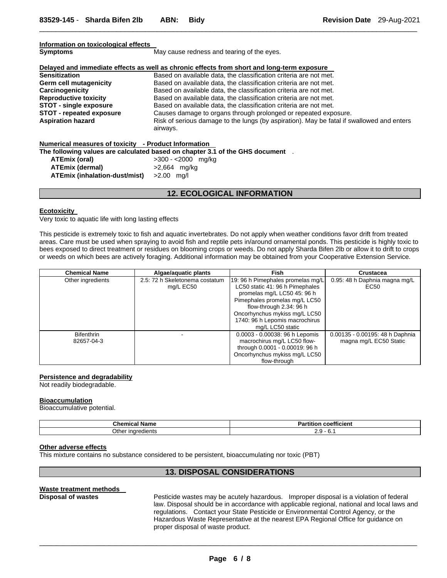| Information on toxicological effects                                           |                                                                                            |  |  |  |  |
|--------------------------------------------------------------------------------|--------------------------------------------------------------------------------------------|--|--|--|--|
| <b>Symptoms</b>                                                                | May cause redness and tearing of the eyes.                                                 |  |  |  |  |
|                                                                                |                                                                                            |  |  |  |  |
|                                                                                | Delayed and immediate effects as well as chronic effects from short and long-term exposure |  |  |  |  |
| <b>Sensitization</b>                                                           | Based on available data, the classification criteria are not met.                          |  |  |  |  |
| <b>Germ cell mutagenicity</b>                                                  | Based on available data, the classification criteria are not met.                          |  |  |  |  |
| Carcinogenicity                                                                | Based on available data, the classification criteria are not met.                          |  |  |  |  |
| <b>Reproductive toxicity</b>                                                   | Based on available data, the classification criteria are not met.                          |  |  |  |  |
| <b>STOT - single exposure</b>                                                  | Based on available data, the classification criteria are not met.                          |  |  |  |  |
| <b>STOT - repeated exposure</b>                                                | Causes damage to organs through prolonged or repeated exposure.                            |  |  |  |  |
| <b>Aspiration hazard</b>                                                       | Risk of serious damage to the lungs (by aspiration). May be fatal if swallowed and enters  |  |  |  |  |
|                                                                                | airways.                                                                                   |  |  |  |  |
|                                                                                |                                                                                            |  |  |  |  |
| Numerical measures of toxicity - Product Information                           |                                                                                            |  |  |  |  |
| The following values are calculated based on chapter 3.1 of the GHS document . |                                                                                            |  |  |  |  |
| ATEmix (oral)                                                                  | $>300 - 2000$ mg/kg                                                                        |  |  |  |  |
| <b>ATEmix (dermal)</b>                                                         | $>2,664$ mg/kg                                                                             |  |  |  |  |
| ATEmix (inhalation-dust/mist)                                                  | $>2.00$ mg/l                                                                               |  |  |  |  |

# **12. ECOLOGICAL INFORMATION**

#### **Ecotoxicity**

Very toxic to aquatic life with long lasting effects

This pesticide is extremely toxic to fish and aquatic invertebrates. Do not apply when weather conditions favor drift from treated areas. Care must be used when spraying to avoid fish and reptile pets in/around ornamental ponds. This pesticide is highly toxic to bees exposed to direct treatment or residues on blooming crops or weeds. Do not apply Sharda Bifen 2lb or allow it to drift to crops or weeds on which bees are actively foraging. Additional information may be obtained from your Cooperative Extension Service.

| <b>Chemical Name</b> | Algae/aquatic plants           | <b>Fish</b>                       | <b>Crustacea</b>                |
|----------------------|--------------------------------|-----------------------------------|---------------------------------|
| Other ingredients    | 2.5: 72 h Skeletonema costatum | 19: 96 h Pimephales promelas mg/L | 0.95: 48 h Daphnia magna mg/L   |
|                      | mg/L EC50                      | LC50 static 41: 96 h Pimephales   | EC <sub>50</sub>                |
|                      |                                | promelas mg/L LC50 45: 96 h       |                                 |
|                      |                                | Pimephales promelas mg/L LC50     |                                 |
|                      |                                | flow-through 2.34: 96 h           |                                 |
|                      |                                | Oncorhynchus mykiss mg/L LC50     |                                 |
|                      |                                | 1740: 96 h Lepomis macrochirus    |                                 |
|                      |                                | mg/L LC50 static                  |                                 |
| <b>Bifenthrin</b>    |                                | 0.0003 - 0.00038: 96 h Lepomis    | 0.00135 - 0.00195: 48 h Daphnia |
| 82657-04-3           |                                | macrochirus mg/L LC50 flow-       | magna mg/L EC50 Static          |
|                      |                                | through 0.0001 - 0.00019: 96 h    |                                 |
|                      |                                | Oncorhynchus mykiss mg/L LC50     |                                 |
|                      |                                | flow-through                      |                                 |

#### **Persistence and degradability**

Not readily biodegradable.

#### **Bioaccumulation**

Bioaccumulative potential.

| - -<br>Name<br>Chemical | $- -$<br>coefficient<br>rtitior<br>י ה<br>ан |
|-------------------------|----------------------------------------------|
| Other<br>∵inaredients   | ົ<br>. .<br><u> </u><br>.                    |

#### **Other adverse effects**

This mixture contains no substance considered to be persistent, bioaccumulating nor toxic (PBT)

# **13. DISPOSAL CONSIDERATIONS**

# **Waste treatment methods**

**Disposal of wastes** Pesticide wastes may be acutely hazardous. Improper disposal is a violation of federal law. Disposal should be in accordance with applicable regional, national and local laws and regulations. Contact your State Pesticide or Environmental Control Agency, or the Hazardous Waste Representative at the nearest EPA Regional Office for guidance on proper disposal of waste product.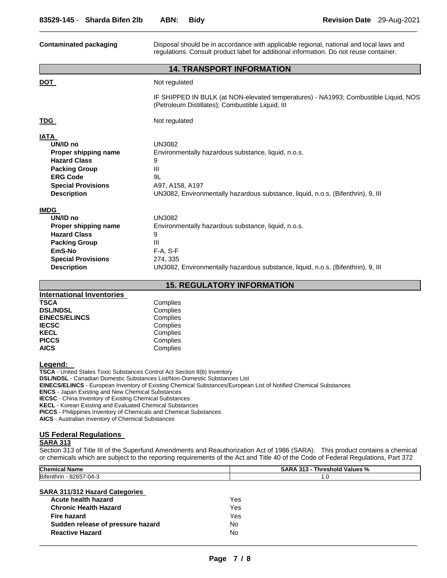| <b>Contaminated packaging</b>                                                                                                                                                                                                                                                                                                       | Disposal should be in accordance with applicable regional, national and local laws and<br>regulations. Consult product label for additional information. Do not reuse container.                                                                                                                                                                                                          |  |  |  |  |  |
|-------------------------------------------------------------------------------------------------------------------------------------------------------------------------------------------------------------------------------------------------------------------------------------------------------------------------------------|-------------------------------------------------------------------------------------------------------------------------------------------------------------------------------------------------------------------------------------------------------------------------------------------------------------------------------------------------------------------------------------------|--|--|--|--|--|
|                                                                                                                                                                                                                                                                                                                                     | <b>14. TRANSPORT INFORMATION</b>                                                                                                                                                                                                                                                                                                                                                          |  |  |  |  |  |
| <b>DOT</b>                                                                                                                                                                                                                                                                                                                          | Not regulated                                                                                                                                                                                                                                                                                                                                                                             |  |  |  |  |  |
|                                                                                                                                                                                                                                                                                                                                     | IF SHIPPED IN BULK (at NON-elevated temperatures) - NA1993; Combustible Liquid, NOS<br>(Petroleum Distillates); Combustible Liquid; III                                                                                                                                                                                                                                                   |  |  |  |  |  |
| <u>TDG </u>                                                                                                                                                                                                                                                                                                                         | Not regulated                                                                                                                                                                                                                                                                                                                                                                             |  |  |  |  |  |
| <b>IATA</b><br>UN/ID no<br>Proper shipping name<br><b>Hazard Class</b><br><b>Packing Group</b><br><b>ERG Code</b><br><b>Special Provisions</b><br><b>Description</b><br><b>IMDG</b><br>UN/ID no<br>Proper shipping name<br><b>Hazard Class</b><br><b>Packing Group</b><br>EmS-No<br><b>Special Provisions</b><br><b>Description</b> | <b>UN3082</b><br>Environmentally hazardous substance, liquid, n.o.s.<br>9<br>Ш<br>9L<br>A97, A158, A197<br>UN3082, Environmentally hazardous substance, liquid, n.o.s. (Bifenthrin), 9, III<br><b>UN3082</b><br>Environmentally hazardous substance, liquid, n.o.s.<br>9<br>Ш<br>F-A, S-F<br>274, 335<br>UN3082, Environmentally hazardous substance, liquid, n.o.s. (Bifenthrin), 9, III |  |  |  |  |  |
|                                                                                                                                                                                                                                                                                                                                     | <b>15. REGULATORY INFORMATION</b>                                                                                                                                                                                                                                                                                                                                                         |  |  |  |  |  |
| <b>International Inventories</b><br><b>TSCA</b><br><b>DSL/NDSL</b><br><b>EINECS/ELINCS</b><br><b>IECSC</b><br><b>KECL</b><br><b>PICCS</b><br><b>AICS</b><br>Legend:                                                                                                                                                                 | Complies<br>Complies<br>Complies<br>Complies<br>Complies<br>Complies<br>Complies                                                                                                                                                                                                                                                                                                          |  |  |  |  |  |
| TSCA - United States Toxic Substances Control Act Section 8(b) Inventory<br><b>DSL/NDSL - Canadian Domestic Substances List/Non-Domestic Substances List</b><br><b>ENCS</b> - Japan Existing and New Chemical Substances<br><b>IECSC</b> - China Inventory of Existing Chemical Substances                                          | <b>EINECS/ELINCS</b> - European Inventory of Existing Chemical Substances/European List of Notified Chemical Substances                                                                                                                                                                                                                                                                   |  |  |  |  |  |

**KECL** - Korean Existing and Evaluated Chemical Substances

**PICCS** - Philippines Inventory of Chemicals and Chemical Substances

**AICS** - Australian Inventory of Chemical Substances

# **US Federal Regulations**

# **SARA 313**

Section 313 of Title III of the Superfund Amendments and Reauthorization Act of 1986 (SARA). This product contains a chemical or chemicals which are subject to the reporting requirements of the Act and Title 40 of the Code of Federal Regulations, Part 372

| Chemical<br>Name                   | SARA<br>242<br>` Values %<br><b>Threshold</b><br>. ت |  |
|------------------------------------|------------------------------------------------------|--|
| <b>Bifen</b><br>82657-04-<br>:hrın | ں. ا                                                 |  |
|                                    |                                                      |  |

# **SARA 311/312 Hazard Categories**

| Acute health hazard               | Yes. |
|-----------------------------------|------|
| <b>Chronic Health Hazard</b>      | Yes. |
| <b>Fire hazard</b>                | Yes  |
| Sudden release of pressure hazard | Nο   |
| <b>Reactive Hazard</b>            | N∩   |